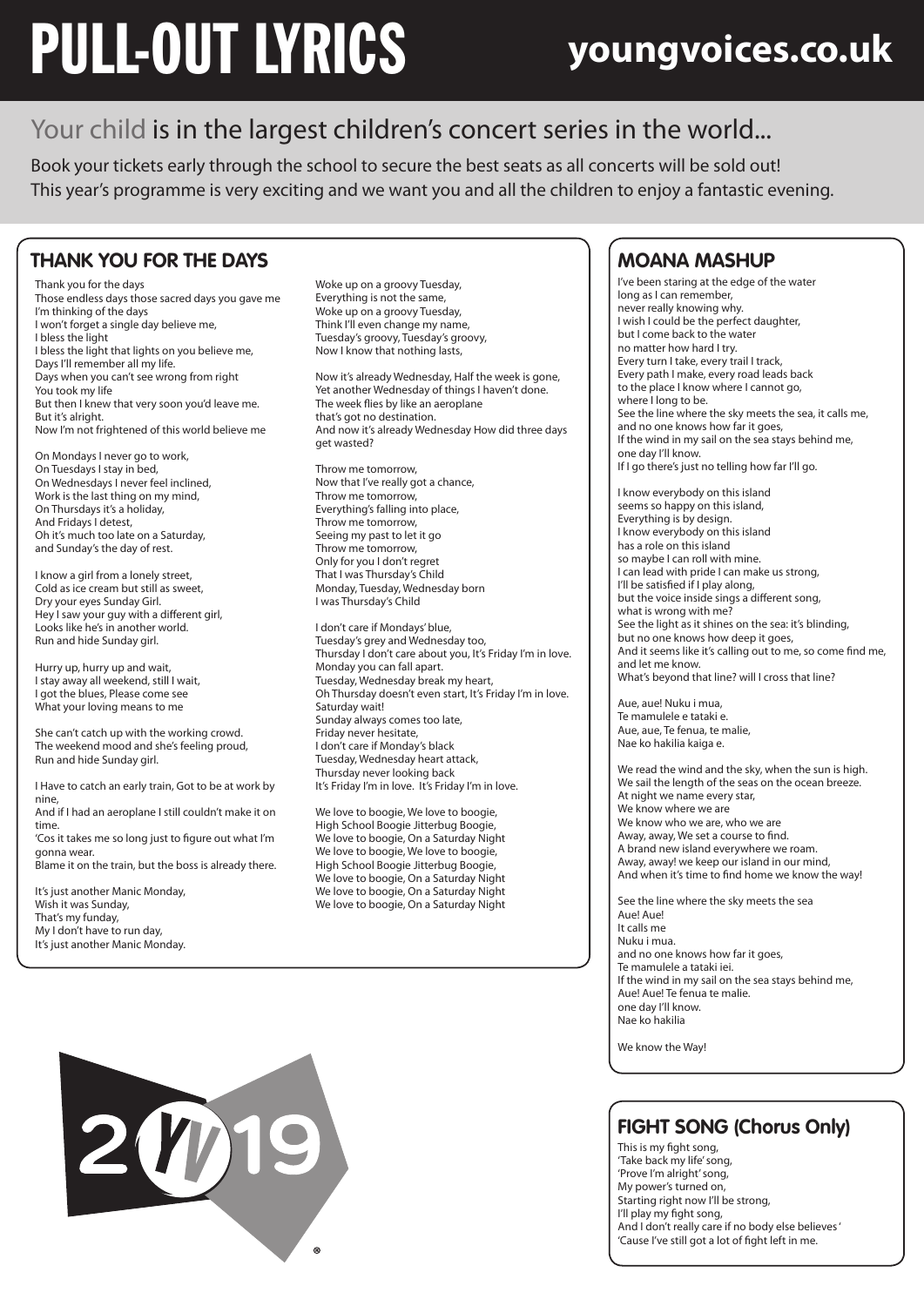# PULL-OUT LYRICS **youngvoices.co.uk**

# Your child is in the largest children's concert series in the world...

Book your tickets early through the school to secure the best seats as all concerts will be sold out! This year's programme is very exciting and we want you and all the children to enjoy a fantastic evening.

# **THANK YOU FOR THE DAYS MOANA MASHUP**

Thank you for the days Those endless days those sacred days you gave me I'm thinking of the days I won't forget a single day believe me, I bless the light I bless the light that lights on you believe me, Days I'll remember all my life. Days when you can't see wrong from right You took my life But then I knew that very soon you'd leave me. But it's alright. Now I'm not frightened of this world believe me

On Mondays I never go to work, On Tuesdays I stay in bed, On Wednesdays I never feel inclined, Work is the last thing on my mind, On Thursdays it's a holiday, And Fridays I detest, Oh it's much too late on a Saturday, and Sunday's the day of rest.

I know a girl from a lonely street, Cold as ice cream but still as sweet, Dry your eyes Sunday Girl. Hey I saw your guy with a different girl, Looks like he's in another world. Run and hide Sunday girl.

Hurry up, hurry up and wait, I stay away all weekend, still I wait, I got the blues, Please come see What your loving means to me

She can't catch up with the working crowd. The weekend mood and she's feeling proud, Run and hide Sunday girl.

I Have to catch an early train, Got to be at work by nine,

And if I had an aeroplane I still couldn't make it on time.

'Cos it takes me so long just to figure out what I'm gonna wear.

Blame it on the train, but the boss is already there.

It's just another Manic Monday, Wish it was Sunday, That's my funday, My I don't have to run day, It's just another Manic Monday. Woke up on a groovy Tuesday. Everything is not the same, Woke up on a groovy Tuesday, Think I'll even change my name, Tuesday's groovy, Tuesday's groovy, Now I know that nothing lasts,

Now it's already Wednesday, Half the week is gone, Yet another Wednesday of things I haven't done. The week flies by like an aeroplane that's got no destination. And now it's already Wednesday How did three days get wasted?

Throw me tomorrow, Now that I've really got a chance, Throw me tomorrow, Everything's falling into place, Throw me tomorrow, Seeing my past to let it go Throw me tomorrow, Only for you I don't regret That I was Thursday's Child Monday, Tuesday, Wednesday born I was Thursday's Child

I don't care if Mondays' blue, Tuesday's grey and Wednesday too, Thursday I don't care about you, It's Friday I'm in love. Monday you can fall apart. Tuesday, Wednesday break my heart, Oh Thursday doesn't even start, It's Friday I'm in love. Saturday wait! Sunday always comes too late, Friday never hesitate, I don't care if Monday's black Tuesday, Wednesday heart attack, Thursday never looking back It's Friday I'm in love. It's Friday I'm in love.

We love to boogie, We love to boogie, High School Boogie Jitterbug Boogie, We love to boogie, On a Saturday Night We love to boogie, We love to boogie, High School Boogie Jitterbug Boogie, We love to boogie, On a Saturday Night We love to boogie, On a Saturday Night We love to boogie, On a Saturday Night

I've been staring at the edge of the water long as I can remember, never really knowing why. I wish I could be the perfect daughter, but I come back to the water no matter how hard I try. Every turn I take, every trail I track, Every path I make, every road leads back to the place I know where I cannot go, where I long to be. See the line where the sky meets the sea, it calls me, and no one knows how far it goes, If the wind in my sail on the sea stays behind me, one day I'll know. If I go there's just no telling how far I'll go.

I know everybody on this island seems so happy on this island, Everything is by design. I know everybody on this island has a role on this island so maybe I can roll with mine. I can lead with pride I can make us strong, I'll be satisfied if I play along, but the voice inside sings a different song, what is wrong with me? See the light as it shines on the sea: it's blinding, but no one knows how deep it goes, And it seems like it's calling out to me, so come find me, and let me know. What's beyond that line? will I cross that line?

Aue, aue! Nuku i mua, Te mamulele e tataki e. Aue, aue, Te fenua, te malie, Nae ko hakilia kaiga e.

We read the wind and the sky, when the sun is high. We sail the length of the seas on the ocean breeze. At night we name every star, We know where we are We know who we are, who we are Away, away, We set a course to find. A brand new island everywhere we roam. Away, away! we keep our island in our mind, And when it's time to find home we know the way!

See the line where the sky meets the sea Aue! Aue! It calls me Nuku i mua. and no one knows how far it goes, Te mamulele a tataki iei. If the wind in my sail on the sea stays behind me, Aue! Aue! Te fenua te malie. one day I'll know. Nae ko hakilia

We know the Way!

# **FIGHT SONG (Chorus Only)**

This is my fight song, 'Take back my life' song, 'Prove I'm alright' song, My power's turned on, Starting right now I'll be strong, I'll play my fight song, And I don't really care if no body else believes ' 'Cause I've still got a lot of fight left in me.

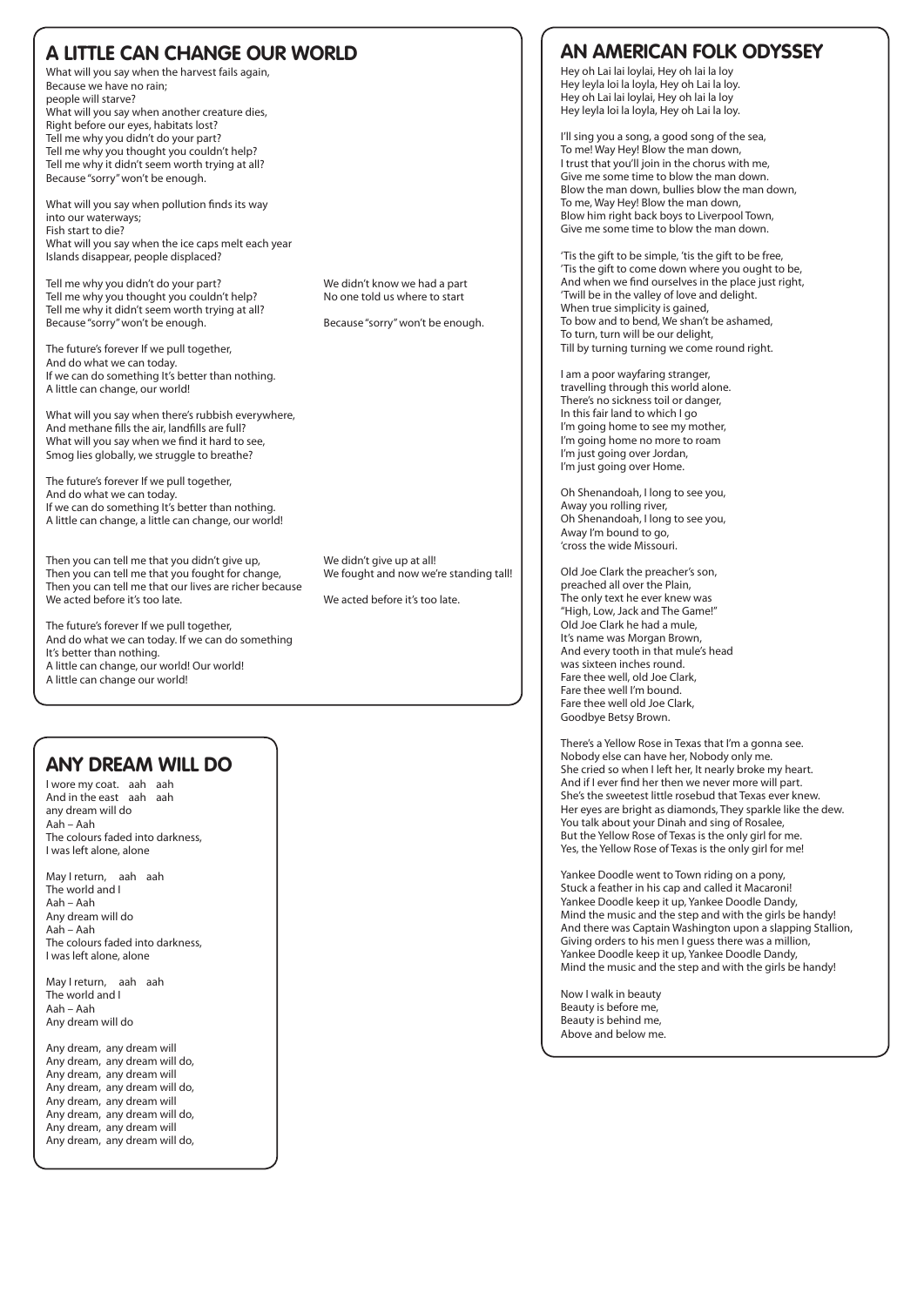# **A LITTLE CAN CHANGE OUR WORLD**

What will you say when the harvest fails again, Because we have no rain; people will starve? What will you say when another creature dies, Right before our eyes, habitats lost? Tell me why you didn't do your part?

Tell me why you thought you couldn't help? Tell me why it didn't seem worth trying at all? Because "sorry" won't be enough.

What will you say when pollution finds its way into our waterways; Fish start to die? What will you say when the ice caps melt each year Islands disappear, people displaced?

Tell me why you didn't do your part?<br>Tell me why you thought you couldn't help? No one told us where to start Tell me why you thought you couldn't help? Tell me why it didn't seem worth trying at all?<br>Because "sorry" won't be enough.

The future's forever If we pull together, And do what we can today. If we can do something It's better than nothing. A little can change, our world!

What will you say when there's rubbish everywhere, And methane fills the air, landfills are full? What will you say when we find it hard to see, Smog lies globally, we struggle to breathe?

The future's forever If we pull together, And do what we can today. If we can do something It's better than nothing. A little can change, a little can change, our world!

Then you can tell me that you didn't give up, We didn't give up at all!<br>Then you can tell me that you fought for change, We fought and now we're standing tall! Then you can tell me that you fought for change, Then you can tell me that our lives are richer because<br>We acted before it's too late.

The future's forever If we pull together, And do what we can today. If we can do something It's better than nothing. A little can change, our world! Our world!

A little can change our world!

# **ANY DREAM WILL DO**

I wore my coat. aah aah And in the east aah aah any dream will do Aah – Aah The colours faded into darkness, I was left alone, alone

May I return, aah aah The world and I Aah – Aah Any dream will do Aah – Aah The colours faded into darkness, I was left alone, alone

May I return, aah aah The world and I Aah – Aah Any dream will do

Any dream, any dream will Any dream, any dream will do, Any dream, any dream will Any dream, any dream will do, Any dream, any dream will Any dream, any dream will do, Any dream, any dream will Any dream, any dream will do,

Because "sorry" won't be enough.

We acted before it's too late.

# **AN AMERICAN FOLK ODYSSEY**

Hey oh Lai lai loylai, Hey oh lai la loy Hey leyla loi la loyla, Hey oh Lai la loy. Hey oh Lai lai loylai, Hey oh lai la loy Hey leyla loi la loyla, Hey oh Lai la loy.

I'll sing you a song, a good song of the sea, To me! Way Hey! Blow the man down, I trust that you'll join in the chorus with me, Give me some time to blow the man down. Blow the man down, bullies blow the man down, To me, Way Hey! Blow the man down, Blow him right back boys to Liverpool Town, Give me some time to blow the man down.

'Tis the gift to be simple, 'tis the gift to be free, 'Tis the gift to come down where you ought to be, And when we find ourselves in the place just right, 'Twill be in the valley of love and delight. When true simplicity is gained, To bow and to bend, We shan't be ashamed, To turn, turn will be our delight, Till by turning turning we come round right.

I am a poor wayfaring stranger, travelling through this world alone. There's no sickness toil or danger, In this fair land to which I go I'm going home to see my mother, I'm going home no more to roam I'm just going over Jordan, I'm just going over Home.

Oh Shenandoah, I long to see you, Away you rolling river, Oh Shenandoah, I long to see you, Away I'm bound to go, 'cross the wide Missouri.

Old Joe Clark the preacher's son, preached all over the Plain, The only text he ever knew was "High, Low, Jack and The Game!" Old Joe Clark he had a mule, It's name was Morgan Brown, And every tooth in that mule's head was sixteen inches round. Fare thee well, old Joe Clark, Fare thee well I'm bound. Fare thee well old Joe Clark, Goodbye Betsy Brown.

There's a Yellow Rose in Texas that I'm a gonna see. Nobody else can have her, Nobody only me. She cried so when I left her, It nearly broke my heart. And if I ever find her then we never more will part. She's the sweetest little rosebud that Texas ever knew. Her eyes are bright as diamonds, They sparkle like the dew. You talk about your Dinah and sing of Rosalee, But the Yellow Rose of Texas is the only girl for me. Yes, the Yellow Rose of Texas is the only girl for me!

Yankee Doodle went to Town riding on a pony, Stuck a feather in his cap and called it Macaroni! Yankee Doodle keep it up, Yankee Doodle Dandy, Mind the music and the step and with the girls be handy! And there was Captain Washington upon a slapping Stallion, Giving orders to his men I guess there was a million, Yankee Doodle keep it up, Yankee Doodle Dandy, Mind the music and the step and with the girls be handy!

Now I walk in beauty Beauty is before me, Beauty is behind me, Above and below me.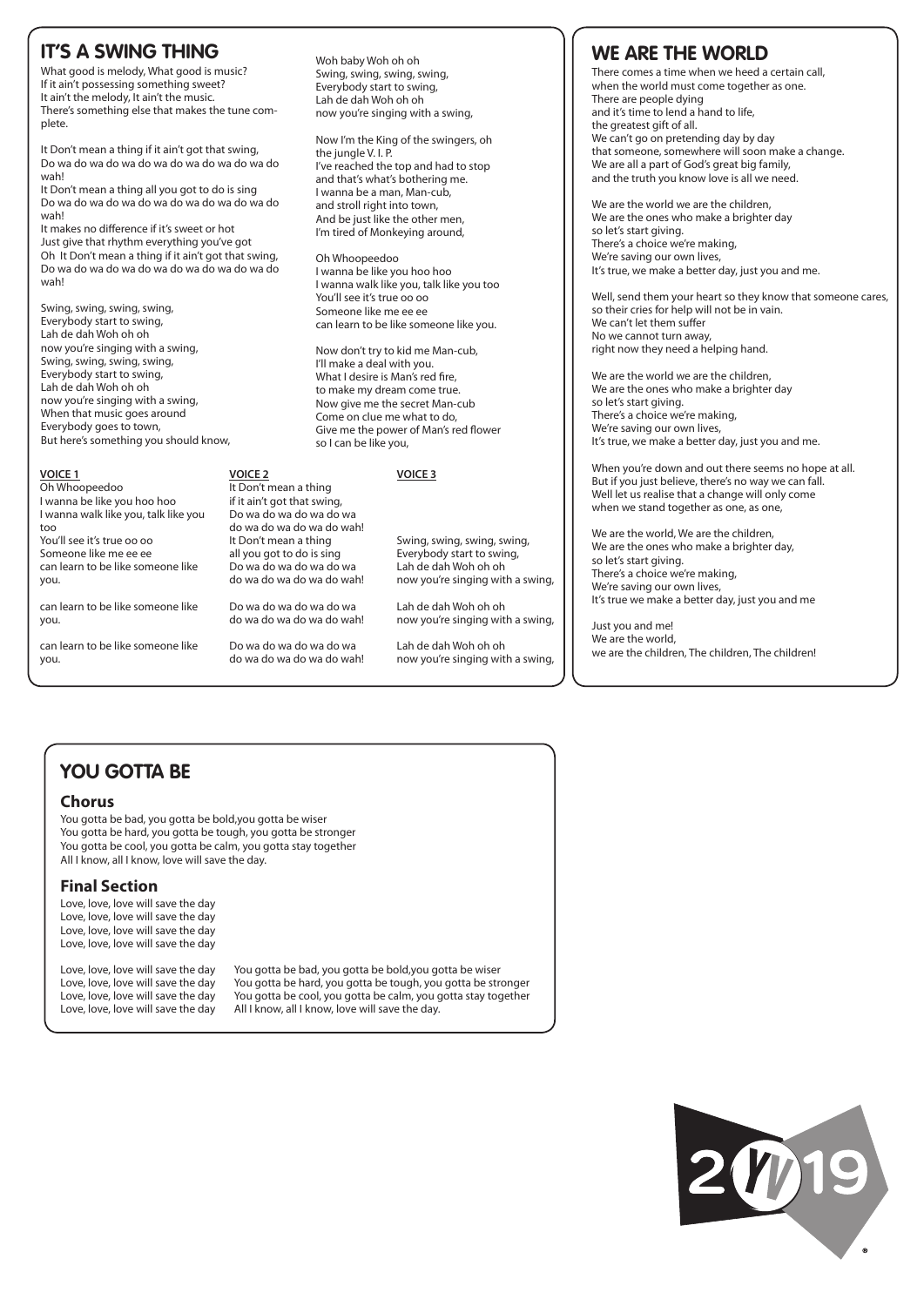# **IT'S A SWING THING**

What good is melody, What good is music? If it ain't possessing something sweet? It ain't the melody, It ain't the music. There's something else that makes the tune complete.

It Don't mean a thing if it ain't got that swing, Do wa do wa do wa do wa do wa do wa do wa do wah!

It Don't mean a thing all you got to do is sing Do wa do wa do wa do wa do wa do wa do wa do wah!

It makes no difference if it's sweet or hot Just give that rhythm everything you've got Oh It Don't mean a thing if it ain't got that swing, Do wa do wa do wa do wa do wa do wa do wa do wah!

Swing, swing, swing, swing, Everybody start to swing, Lah de dah Woh oh oh now you're singing with a swing, Swing, swing, swing, swing, Everybody start to swing, Lah de dah Woh oh oh now you're singing with a swing, When that music goes around Everybody goes to town, But here's something you should know,

I wanna walk like you, talk like you

Woh baby Woh oh oh Swing, swing, swing, swing, Everybody start to swing, Lah de dah Woh oh oh now you're singing with a swing,

Now I'm the King of the swingers, oh the jungle V. I. P. I've reached the top and had to stop and that's what's bothering me. I wanna be a man, Man-cub, and stroll right into town, And be just like the other men, I'm tired of Monkeying around,

Oh Whoopeedoo I wanna be like you hoo hoo I wanna walk like you, talk like you too You'll see it's true oo oo Someone like me ee ee can learn to be like someone like you.

Now don't try to kid me Man-cub, I'll make a deal with you. What I desire is Man's red fire, to make my dream come true. Now give me the secret Man-cub Come on clue me what to do, Give me the power of Man's red flower so I can be like you,

**VOICE 1 VOICE 2 VOICE 3** It Don't mean a thing<br>if it ain't got that swing, I wanna be like you hoo hoo if it ain't got that swing,<br>I wanna walk like you, talk like you Do wa do wa do wa do wa too do wa do wa do wa do wa do wa do wa do wa do wah!<br>You'll see it's true oo oo do do boo't mean a thing You'll see it's true oo oo It Don't mean a thing Swing, swing, swing, swing, swing, swing, swing, swing, swing, swing, swing, swing, swing, swing, swing, swing, swing, swing, swing, swing, swing, swing, swing, swing, swing Someone continue me entity ou got to do is sing<br>
Do wa do wa do wa do wa Lah de dah Woh oh oh  $\frac{1}{2}$  can learn to be like someone like Do wa do wa do wa do wa do wa do wah! you. **http://with/manufally.community-vou.** do wa do wa do wa do wah! now you're singing with a swing, can learn to be like someone like Do wa do wa do wa do wa Lah de dah Woh oh oh you. which is a control of the domain do wa do wa do wah! how you're singing with a swing. can learn to be like someone like Do wa do wa do wa do wa Lah de dah Woh oh oh<br>do wa do wa do wa do wa h! now you're singing wit now you're singing with a swing,

## **WE ARE THE WORLD**

There comes a time when we heed a certain call, when the world must come together as one. There are people dying and it's time to lend a hand to life, the greatest gift of all. We can't go on pretending day by day that someone, somewhere will soon make a change. We are all a part of God's great big family, and the truth you know love is all we need.

We are the world we are the children, We are the ones who make a brighter day so let's start giving. There's a choice we're making, We're saving our own lives, It's true, we make a better day, just you and me.

Well, send them your heart so they know that someone cares, so their cries for help will not be in vain. We can't let them suffer No we cannot turn away, right now they need a helping hand.

We are the world we are the children. We are the ones who make a brighter day so let's start giving. There's a choice we're making, We're saving our own lives, It's true, we make a better day, just you and me.

When you're down and out there seems no hope at all. But if you just believe, there's no way we can fall. Well let us realise that a change will only come when we stand together as one, as one,

We are the world, We are the children, We are the ones who make a brighter day, so let's start giving. There's a choice we're making, We're saving our own lives, It's true we make a better day, just you and me

Just you and me! We are the world, we are the children, The children, The children!

# **YOU GOTTA BE**

#### **Chorus**

You gotta be bad, you gotta be bold,you gotta be wiser You gotta be hard, you gotta be tough, you gotta be stronger You gotta be cool, you gotta be calm, you gotta stay together All I know, all I know, love will save the day.

#### **Final Section**

Love, love, love will save the day Love, love, love will save the day Love, love, love will save the day Love, love, love will save the day

Love, love, love will save the day You gotta be bad, you gotta be bold, you gotta be wiser<br>Love, love, love will save the day You gotta be hard, you gotta be tough, you gotta be str Love, love, love will save the day You gotta be hard, you gotta be tough, you gotta be stronger<br>Love, love, love will save the day You gotta be cool, you gotta be calm, you gotta stay together Love, love, love will save the day You gotta be cool, you gotta be calm, you gotta stay together<br>Love, love, love will save the day All I know, all I know, love will save the day. All I know, all I know, love will save the day.